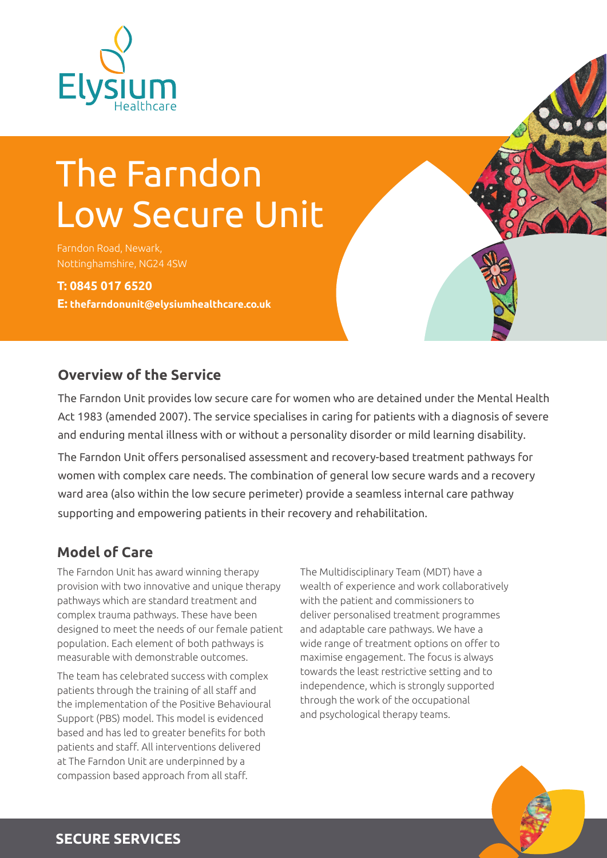

# The Farndon Low Secure Unit

Farndon Road, Newark, Nottinghamshire, NG24 4SW

**T: 0845 017 6520 E: thefarndonunit@elysiumhealthcare.co.uk**

## **Overview of the Service**

The Farndon Unit provides low secure care for women who are detained under the Mental Health Act 1983 (amended 2007). The service specialises in caring for patients with a diagnosis of severe and enduring mental illness with or without a personality disorder or mild learning disability.

The Farndon Unit offers personalised assessment and recovery-based treatment pathways for women with complex care needs. The combination of general low secure wards and a recovery ward area (also within the low secure perimeter) provide a seamless internal care pathway supporting and empowering patients in their recovery and rehabilitation.

# **Model of Care**

The Farndon Unit has award winning therapy provision with two innovative and unique therapy pathways which are standard treatment and complex trauma pathways. These have been designed to meet the needs of our female patient population. Each element of both pathways is measurable with demonstrable outcomes.

The team has celebrated success with complex patients through the training of all staff and the implementation of the Positive Behavioural Support (PBS) model. This model is evidenced based and has led to greater benefits for both patients and staff. All interventions delivered at The Farndon Unit are underpinned by a compassion based approach from all staff.

The Multidisciplinary Team (MDT) have a wealth of experience and work collaboratively with the patient and commissioners to deliver personalised treatment programmes and adaptable care pathways. We have a wide range of treatment options on offer to maximise engagement. The focus is always towards the least restrictive setting and to independence, which is strongly supported through the work of the occupational and psychological therapy teams.